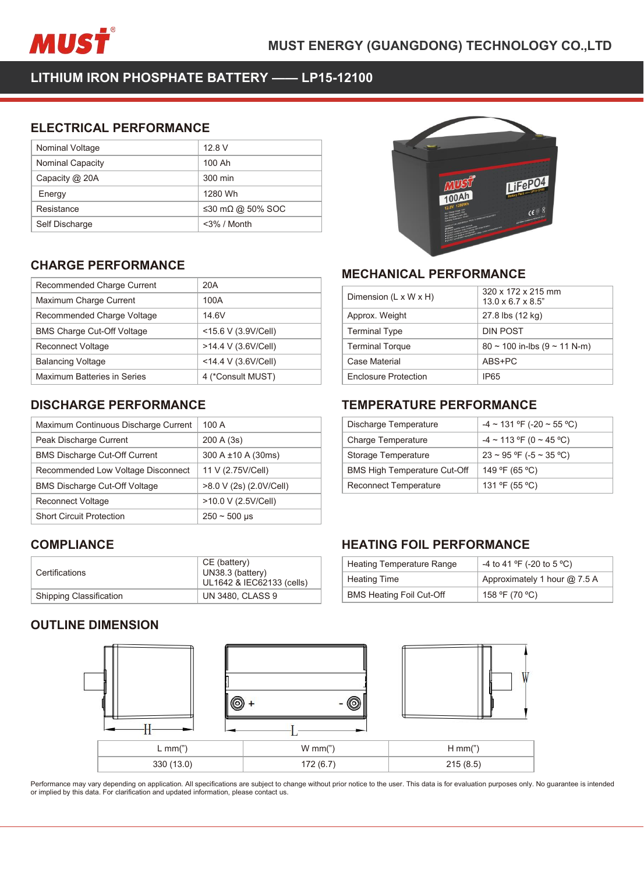

| MUSŤ                                                 |                  | <b>MUST ENERGY (GUAN</b> |
|------------------------------------------------------|------------------|--------------------------|
| LITHIUM IRON PHOSPHATE BATTERY - LP15-12100          |                  |                          |
| <b>ELECTRICAL PERFORMANCE</b>                        |                  |                          |
| Nominal Voltage                                      | 12.8 V<br>100 Ah |                          |
| Nominal Capacity<br>Capacity @ 20A                   | 300 min          |                          |
| Energy                                               | 1280 Wh          |                          |
| Resistance                                           | ≤30 mΩ @ 50% SOC |                          |
| Self Discharge                                       | <3% / Month      |                          |
|                                                      |                  |                          |
|                                                      |                  |                          |
|                                                      |                  |                          |
| <b>CHARGE PERFORMANCE</b>                            |                  | <b>MECHANIO</b>          |
| Recommended Charge Current                           | 20A              | Dimension (L x           |
| Maximum Charge Current<br>Recommended Charge Voltage | 100A<br>14.6V    | Approx. Weigh            |

| Capacity @ 20A                                                             | 300 min              |                |
|----------------------------------------------------------------------------|----------------------|----------------|
| Energy                                                                     | 1280 Wh              |                |
| Resistance                                                                 | ≤30 mΩ @ 50% SOC     |                |
| Self Discharge                                                             | $<$ 3% / Month       |                |
|                                                                            |                      |                |
| <b>CHARGE PERFORMANCE</b>                                                  |                      |                |
| Recommended Charge Current                                                 | 20A                  | <b>MECH</b>    |
| Maximum Charge Current                                                     | 100A                 | Dimensi        |
| Recommended Charge Voltage                                                 | 14.6V                | Approx.        |
| <b>BMS Charge Cut-Off Voltage</b>                                          | <15.6 V (3.9V/Cell)  | Termina        |
| Reconnect Voltage                                                          | >14.4 V (3.6V/Cell)  | Termina        |
| <b>Balancing Voltage</b>                                                   | <14.4 V (3.6V/Cell)  | Case Ma        |
| <b>Maximum Batteries in Series</b>                                         | 4 (*Consult MUST)    | Enclosu        |
|                                                                            |                      |                |
| <b>DISCHARGE PERFORMANCE</b>                                               |                      | <b>TEMPI</b>   |
| Maximum Continuous Discharge Current                                       | 100 A                | Dischar        |
| Peak Discharge Current                                                     | 200 A (3s)           | Charge         |
| <b>BMS Discharge Cut-Off Current</b>                                       | 300 A ±10 A (30ms)   | Storage        |
| Recommended Low Voltage Disconnect                                         | 11 V (2.75V/Cell)    | <b>BMS Hie</b> |
| $\mathbb{R}^{110}$ $\mathbb{R}^{11}$ $\mathbb{R}^{100}$ $\mathbb{R}^{100}$ | $0.0111011001100111$ | $\sim$         |

| <b>BMS Charge Cut-Off Voltage</b>    | <15.6 V (3.9V/Cell)                                           | <b>Terminal Type</b>                          |
|--------------------------------------|---------------------------------------------------------------|-----------------------------------------------|
| <b>Reconnect Voltage</b>             | >14.4 V (3.6V/Cell)                                           | <b>Terminal Torque</b>                        |
| <b>Balancing Voltage</b>             | <14.4 V (3.6V/Cell)                                           | Case Material                                 |
| Maximum Batteries in Series          | 4 (*Consult MUST)                                             | <b>Enclosure Protect</b>                      |
| <b>DISCHARGE PERFORMANCE</b>         |                                                               | TEMPERATL                                     |
| Maximum Continuous Discharge Current | 100 A                                                         | Discharge Tempe                               |
| Peak Discharge Current               | 200 A (3s)                                                    | <b>Charge Temperat</b>                        |
| <b>BMS Discharge Cut-Off Current</b> | 300 A ±10 A (30ms)                                            | Storage Tempera                               |
| Recommended Low Voltage Disconnect   | 11 V (2.75V/Cell)                                             | <b>BMS High Tempe</b>                         |
| <b>BMS Discharge Cut-Off Voltage</b> | >8.0 V (2s) (2.0V/Cell)                                       | Reconnect Temp                                |
| <b>Reconnect Voltage</b>             | >10.0 V (2.5V/Cell)                                           |                                               |
| <b>Short Circuit Protection</b>      | $250 - 500$ µs                                                |                                               |
| <b>COMPLIANCE</b>                    |                                                               | <b>HEATING FC</b>                             |
| Certifications                       | CE (battery)<br>UN38.3 (battery)<br>UL1642 & IEC62133 (cells) | <b>Heating Tempera</b><br><b>Heating Time</b> |
| Shipping Classification              | <b>UN 3480, CLASS 9</b>                                       | <b>BMS Heating Foil</b>                       |
| <b>OUTLINE DIMENSION</b>             |                                                               |                                               |

# **COMPLIANCE**

| Certifications                 | CE (battery)<br>UN38.3 (battery)<br>UL1642 & IEC62133 (cells) |
|--------------------------------|---------------------------------------------------------------|
| <b>Shipping Classification</b> | <b>UN 3480, CLASS 9</b>                                       |



![](_page_0_Picture_14.jpeg)

| <b>MECHANICAL PERFORMANCE</b>       |                                                      |
|-------------------------------------|------------------------------------------------------|
| Dimension (L x W x H)               | 320 x 172 x 215 mm<br>$13.0 \times 6.7 \times 8.5$ " |
| Approx. Weight                      | 27.8 lbs (12 kg)                                     |
| <b>Terminal Type</b>                | <b>DIN POST</b>                                      |
| <b>Terminal Torque</b>              | $80 \sim 100$ in-lbs (9 ~ 11 N-m)                    |
| Case Material                       | ABS+PC                                               |
| <b>Enclosure Protection</b>         | IP65                                                 |
| <b>TEMPERATURE PERFORMANCE</b>      |                                                      |
| Discharge Temperature               | $-4 \sim 131$ °F (-20 ~ 55 °C)                       |
| <b>Charge Temperature</b>           | $-4 \sim 113$ °F (0 ~ 45 °C)                         |
| Storage Temperature                 | $23 \sim 95$ °F (-5 ~ 35 °C)                         |
| <b>BMS High Temperature Cut-Off</b> | 149 °F (65 °C)                                       |
|                                     |                                                      |

| <b>Terminal Torque</b>              |                                   |
|-------------------------------------|-----------------------------------|
|                                     | $80 \sim 100$ in-lbs (9 ~ 11 N-m) |
| <b>Case Material</b>                | ABS+PC                            |
| <b>Enclosure Protection</b>         | IP <sub>65</sub>                  |
|                                     |                                   |
| <b>TEMPERATURE PERFORMANCE</b>      |                                   |
| Discharge Temperature               | $-4 \sim 131$ °F (-20 ~ 55 °C)    |
| <b>Charge Temperature</b>           | $-4 \sim 113$ °F (0 ~ 45 °C)      |
| Storage Temperature                 | $23 \sim 95$ °F (-5 ~ 35 °C)      |
| <b>BMS High Temperature Cut-Off</b> | 149 °F (65 °C)                    |
| <b>Reconnect Temperature</b>        | 131 °F (55 °C)                    |

| Storage Temperature                 | $23 \sim 95$ °F (-5 $\sim 35$ °C) |
|-------------------------------------|-----------------------------------|
| <b>BMS High Temperature Cut-Off</b> | 149 °F (65 °C)                    |
| <b>Reconnect Temperature</b>        | 131 °F (55 °C)                    |
|                                     |                                   |
| <b>HEATING FOIL PERFORMANCE</b>     |                                   |
| <b>Heating Temperature Range</b>    | -4 to 41 °F (-20 to 5 °C)         |
| <b>Heating Time</b>                 | Approximately 1 hour @ 7.5 A      |